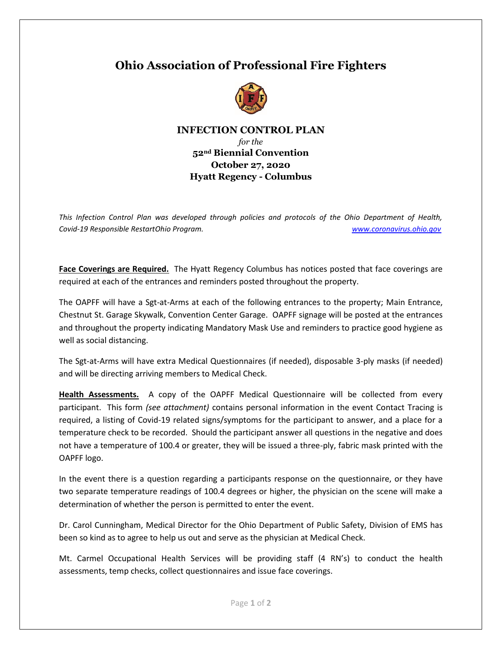## **Ohio Association of Professional Fire Fighters**



## **INFECTION CONTROL PLAN**

*for the*  **52nd Biennial Convention October 27, 2020 Hyatt Regency - Columbus**

*This Infection Control Plan was developed through policies and protocols of the Ohio Department of Health, Covid-19 Responsible RestartOhio Program. [www.coronavirus.ohio.gov](http://www.coronavirus.ohio.gov/)*

**Face Coverings are Required.** The Hyatt Regency Columbus has notices posted that face coverings are required at each of the entrances and reminders posted throughout the property.

The OAPFF will have a Sgt-at-Arms at each of the following entrances to the property; Main Entrance, Chestnut St. Garage Skywalk, Convention Center Garage. OAPFF signage will be posted at the entrances and throughout the property indicating Mandatory Mask Use and reminders to practice good hygiene as well as social distancing.

The Sgt-at-Arms will have extra Medical Questionnaires (if needed), disposable 3-ply masks (if needed) and will be directing arriving members to Medical Check.

**Health Assessments.** A copy of the OAPFF Medical Questionnaire will be collected from every participant. This form *(see attachment)* contains personal information in the event Contact Tracing is required, a listing of Covid-19 related signs/symptoms for the participant to answer, and a place for a temperature check to be recorded. Should the participant answer all questions in the negative and does not have a temperature of 100.4 or greater, they will be issued a three-ply, fabric mask printed with the OAPFF logo.

In the event there is a question regarding a participants response on the questionnaire, or they have two separate temperature readings of 100.4 degrees or higher, the physician on the scene will make a determination of whether the person is permitted to enter the event.

Dr. Carol Cunningham, Medical Director for the Ohio Department of Public Safety, Division of EMS has been so kind as to agree to help us out and serve as the physician at Medical Check.

Mt. Carmel Occupational Health Services will be providing staff (4 RN's) to conduct the health assessments, temp checks, collect questionnaires and issue face coverings.